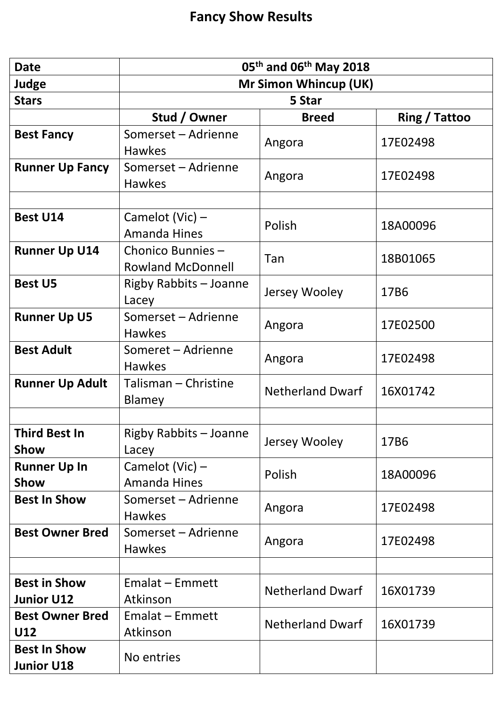| <b>Date</b>                              | $05th$ and $06th$ May 2018                   |                         |               |
|------------------------------------------|----------------------------------------------|-------------------------|---------------|
| Judge                                    | <b>Mr Simon Whincup (UK)</b>                 |                         |               |
| <b>Stars</b>                             | 5 Star                                       |                         |               |
|                                          | Stud / Owner                                 | <b>Breed</b>            | Ring / Tattoo |
| <b>Best Fancy</b>                        | Somerset - Adrienne<br><b>Hawkes</b>         | Angora                  | 17E02498      |
| <b>Runner Up Fancy</b>                   | Somerset - Adrienne<br><b>Hawkes</b>         | Angora                  | 17E02498      |
|                                          |                                              |                         |               |
| <b>Best U14</b>                          | Camelot (Vic) -<br><b>Amanda Hines</b>       | Polish                  | 18A00096      |
| <b>Runner Up U14</b>                     | Chonico Bunnies-<br><b>Rowland McDonnell</b> | Tan                     | 18B01065      |
| <b>Best U5</b>                           | <b>Rigby Rabbits - Joanne</b><br>Lacey       | Jersey Wooley           | 17B6          |
| <b>Runner Up U5</b>                      | Somerset - Adrienne<br><b>Hawkes</b>         | Angora                  | 17E02500      |
| <b>Best Adult</b>                        | Someret - Adrienne<br><b>Hawkes</b>          | Angora                  | 17E02498      |
| <b>Runner Up Adult</b>                   | Talisman - Christine<br>Blamey               | <b>Netherland Dwarf</b> | 16X01742      |
|                                          |                                              |                         |               |
| <b>Third Best In</b><br>Show             | <b>Rigby Rabbits - Joanne</b><br>Lacey       | Jersey Wooley           | 17B6          |
| <b>Runner Up In</b><br>Show              | Camelot (Vic) -<br><b>Amanda Hines</b>       | Polish                  | 18A00096      |
| <b>Best In Show</b>                      | Somerset - Adrienne<br><b>Hawkes</b>         | Angora                  | 17E02498      |
| <b>Best Owner Bred</b>                   | Somerset - Adrienne<br><b>Hawkes</b>         | Angora                  | 17E02498      |
|                                          |                                              |                         |               |
| <b>Best in Show</b><br><b>Junior U12</b> | Emalat - Emmett<br>Atkinson                  | <b>Netherland Dwarf</b> | 16X01739      |
| <b>Best Owner Bred</b><br>U12            | Emalat - Emmett<br>Atkinson                  | <b>Netherland Dwarf</b> | 16X01739      |
| <b>Best In Show</b><br><b>Junior U18</b> | No entries                                   |                         |               |